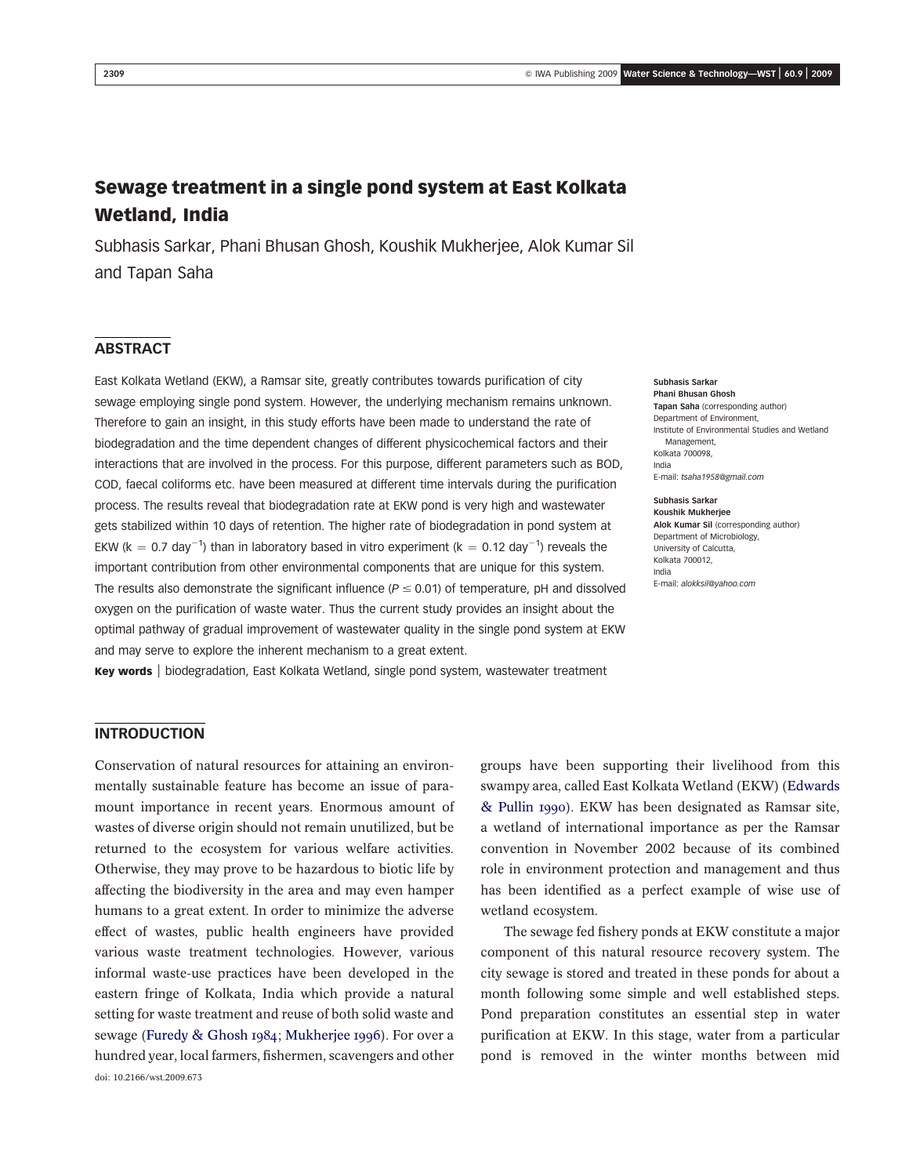# Sewage treatment in a single pond system at East Kolkata Wetland, India

Subhasis Sarkar, Phani Bhusan Ghosh, Koushik Mukherjee, Alok Kumar Sil and Tapan Saha

# ABSTRACT

East Kolkata Wetland (EKW), a Ramsar site, greatly contributes towards purification of city sewage employing single pond system. However, the underlying mechanism remains unknown. Therefore to gain an insight, in this study efforts have been made to understand the rate of biodegradation and the time dependent changes of different physicochemical factors and their interactions that are involved in the process. For this purpose, different parameters such as BOD, COD, faecal coliforms etc. have been measured at different time intervals during the purification process. The results reveal that biodegradation rate at EKW pond is very high and wastewater gets stabilized within 10 days of retention. The higher rate of biodegradation in pond system at EKW (k = 0.7 day<sup>-1</sup>) than in laboratory based in vitro experiment (k = 0.12 day<sup>-1</sup>) reveals the important contribution from other environmental components that are unique for this system. The results also demonstrate the significant influence ( $P \le 0.01$ ) of temperature, pH and dissolved oxygen on the purification of waste water. Thus the current study provides an insight about the optimal pathway of gradual improvement of wastewater quality in the single pond system at EKW and may serve to explore the inherent mechanism to a great extent.

Key words | biodegradation, East Kolkata Wetland, single pond system, wastewater treatment

Subhasis Sarkar Phani Bhusan Ghosh Tapan Saha (corresponding author) Department of Environment, Institute of Environmental Studies and Wetland Management, Kolkata 700098, India E-mail: tsaha1958@gmail.com

Subhasis Sarkar Koushik Mukherjee Alok Kumar Sil (corresponding author) Department of Microbiology, University of Calcutta, Kolkata 700012, India E-mail: alokksil@yahoo.com

# INTRODUCTION

Conservation of natural resources for attaining an environmentally sustainable feature has become an issue of paramount importance in recent years. Enormous amount of wastes of diverse origin should not remain unutilized, but be returned to the ecosystem for various welfare activities. Otherwise, they may prove to be hazardous to biotic life by affecting the biodiversity in the area and may even hamper humans to a great extent. In order to minimize the adverse effect of wastes, public health engineers have provided various waste treatment technologies. However, various informal waste-use practices have been developed in the eastern fringe of Kolkata, India which provide a natural setting for waste treatment and reuse of both solid waste and sewage (Furedy & Ghosh 1984; Mukherjee 1996). For over a hundred year, local farmers, fishermen, scavengers and other doi: 10.2166/wst.2009.673

groups have been supporting their livelihood from this swampy area, called East Kolkata Wetland (EKW) (Edwards & Pullin 1990). EKW has been designated as Ramsar site, a wetland of international importance as per the Ramsar convention in November 2002 because of its combined role in environment protection and management and thus has been identified as a perfect example of wise use of wetland ecosystem.

The sewage fed fishery ponds at EKW constitute a major component of this natural resource recovery system. The city sewage is stored and treated in these ponds for about a month following some simple and well established steps. Pond preparation constitutes an essential step in water purification at EKW. In this stage, water from a particular pond is removed in the winter months between mid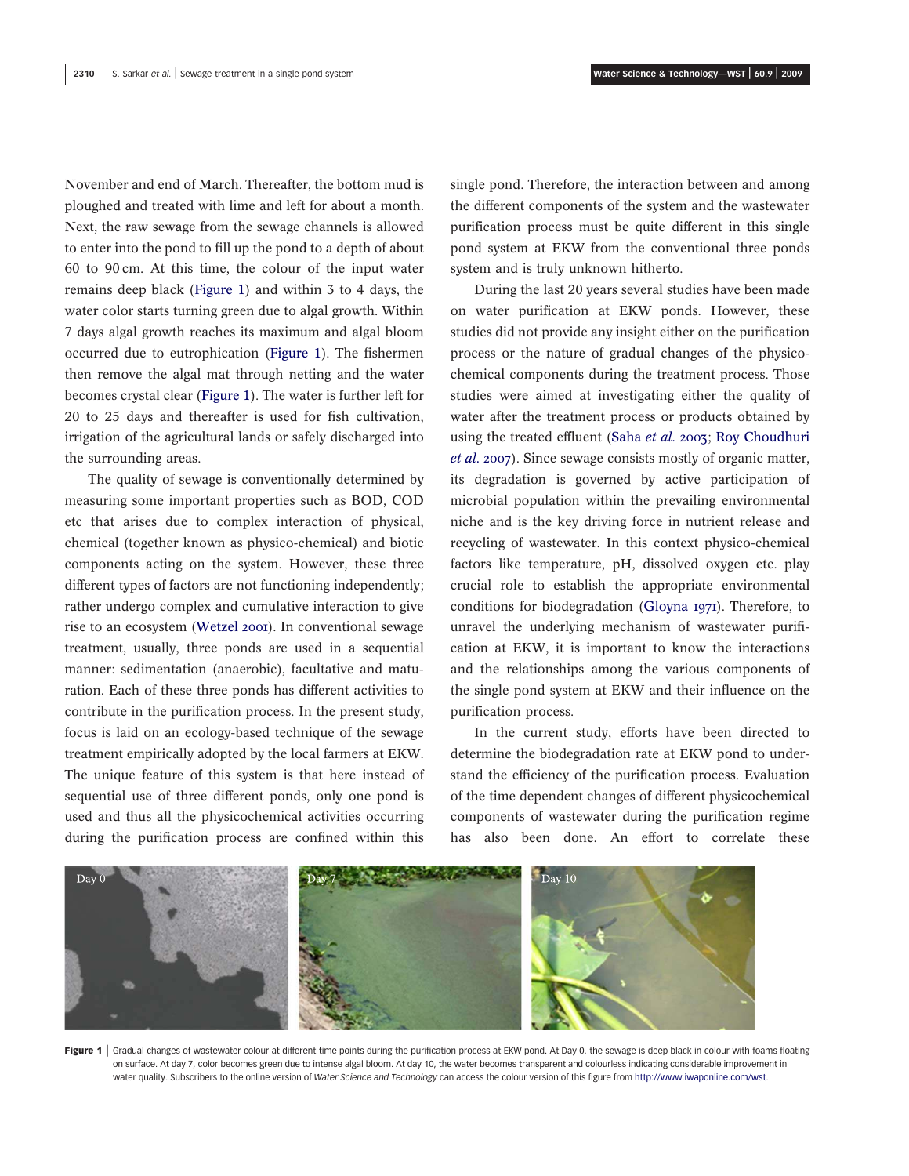November and end of March. Thereafter, the bottom mud is ploughed and treated with lime and left for about a month. Next, the raw sewage from the sewage channels is allowed to enter into the pond to fill up the pond to a depth of about 60 to 90 cm. At this time, the colour of the input water remains deep black (Figure 1) and within 3 to 4 days, the water color starts turning green due to algal growth. Within 7 days algal growth reaches its maximum and algal bloom occurred due to eutrophication (Figure 1). The fishermen then remove the algal mat through netting and the water becomes crystal clear (Figure 1). The water is further left for 20 to 25 days and thereafter is used for fish cultivation, irrigation of the agricultural lands or safely discharged into the surrounding areas.

The quality of sewage is conventionally determined by measuring some important properties such as BOD, COD etc that arises due to complex interaction of physical, chemical (together known as physico-chemical) and biotic components acting on the system. However, these three different types of factors are not functioning independently; rather undergo complex and cumulative interaction to give rise to an ecosystem (Wetzel 2001). In conventional sewage treatment, usually, three ponds are used in a sequential manner: sedimentation (anaerobic), facultative and maturation. Each of these three ponds has different activities to contribute in the purification process. In the present study, focus is laid on an ecology-based technique of the sewage treatment empirically adopted by the local farmers at EKW. The unique feature of this system is that here instead of sequential use of three different ponds, only one pond is used and thus all the physicochemical activities occurring during the purification process are confined within this

single pond. Therefore, the interaction between and among the different components of the system and the wastewater purification process must be quite different in this single pond system at EKW from the conventional three ponds system and is truly unknown hitherto.

During the last 20 years several studies have been made on water purification at EKW ponds. However, these studies did not provide any insight either on the purification process or the nature of gradual changes of the physicochemical components during the treatment process. Those studies were aimed at investigating either the quality of water after the treatment process or products obtained by using the treated effluent (Saha *et al.* 2003; Roy Choudhuri *et al.* 2007). Since sewage consists mostly of organic matter, its degradation is governed by active participation of microbial population within the prevailing environmental niche and is the key driving force in nutrient release and recycling of wastewater. In this context physico-chemical factors like temperature, pH, dissolved oxygen etc. play crucial role to establish the appropriate environmental conditions for biodegradation (Gloyna 1971). Therefore, to unravel the underlying mechanism of wastewater purification at EKW, it is important to know the interactions and the relationships among the various components of the single pond system at EKW and their influence on the purification process.

In the current study, efforts have been directed to determine the biodegradation rate at EKW pond to understand the efficiency of the purification process. Evaluation of the time dependent changes of different physicochemical components of wastewater during the purification regime has also been done. An effort to correlate these



Figure 1 | Gradual changes of wastewater colour at different time points during the purification process at EKW pond. At Day 0, the sewage is deep black in colour with foams floating on surface. At day 7, color becomes green due to intense algal bloom. At day 10, the water becomes transparent and colourless indicating considerable improvement in water quality. Subscribers to the online version of Water Science and Technology can access the colour version of this figure from http://www.iwaponline.com/wst.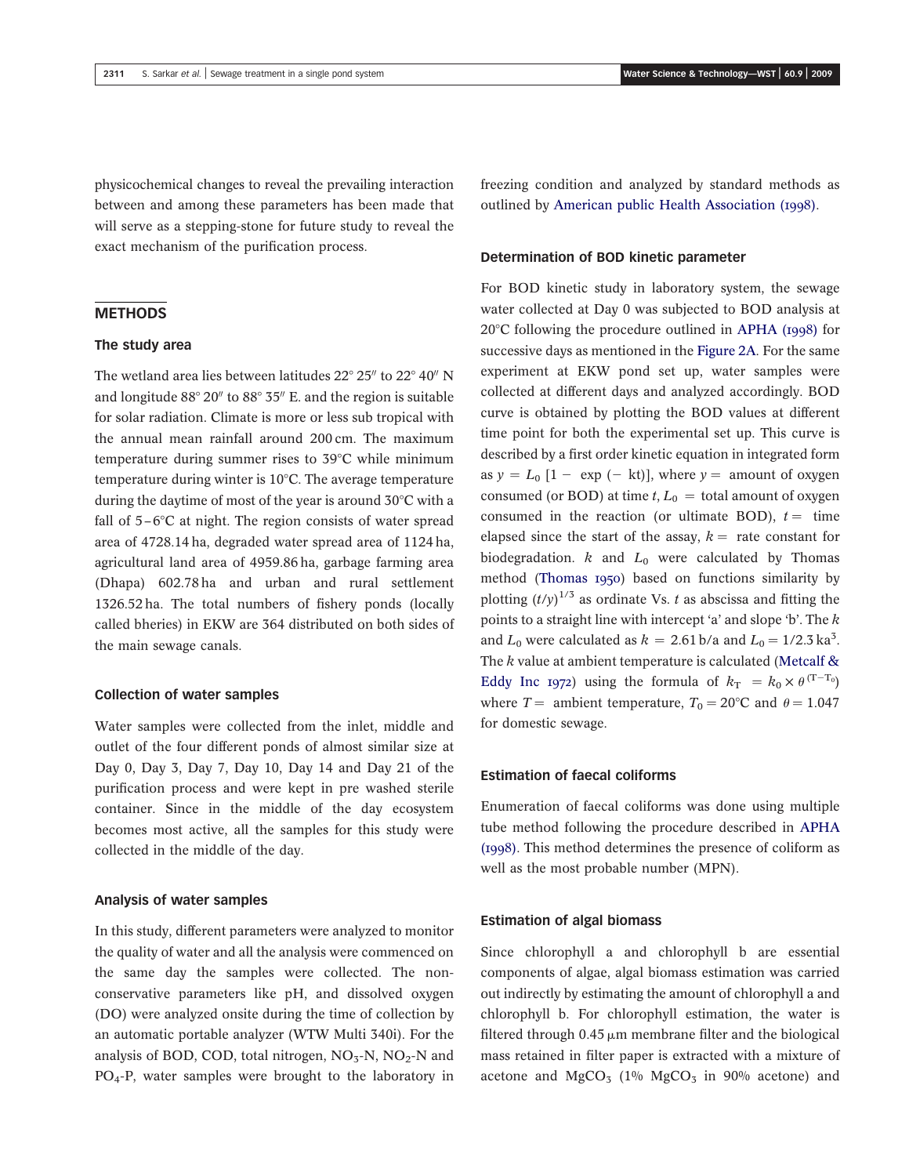physicochemical changes to reveal the prevailing interaction between and among these parameters has been made that will serve as a stepping-stone for future study to reveal the exact mechanism of the purification process.

# **METHODS**

# The study area

The wetland area lies between latitudes  $22^{\circ} 25''$  to  $22^{\circ} 40''$  N and longitude  $88^{\circ}$  20" to  $88^{\circ}$  35" E. and the region is suitable for solar radiation. Climate is more or less sub tropical with the annual mean rainfall around 200 cm. The maximum temperature during summer rises to  $39^{\circ}$ C while minimum temperature during winter is  $10^{\circ}$ C. The average temperature during the daytime of most of the year is around  $30^{\circ}$ C with a fall of  $5-\text{6}^{\circ}\text{C}$  at night. The region consists of water spread area of 4728.14 ha, degraded water spread area of 1124 ha, agricultural land area of 4959.86 ha, garbage farming area (Dhapa) 602.78 ha and urban and rural settlement 1326.52 ha. The total numbers of fishery ponds (locally called bheries) in EKW are 364 distributed on both sides of the main sewage canals.

### Collection of water samples

Water samples were collected from the inlet, middle and outlet of the four different ponds of almost similar size at Day 0, Day 3, Day 7, Day 10, Day 14 and Day 21 of the purification process and were kept in pre washed sterile container. Since in the middle of the day ecosystem becomes most active, all the samples for this study were collected in the middle of the day.

### Analysis of water samples

In this study, different parameters were analyzed to monitor the quality of water and all the analysis were commenced on the same day the samples were collected. The nonconservative parameters like pH, and dissolved oxygen (DO) were analyzed onsite during the time of collection by an automatic portable analyzer (WTW Multi 340i). For the analysis of BOD, COD, total nitrogen,  $NO<sub>3</sub>-N$ ,  $NO<sub>2</sub>-N$  and PO4-P, water samples were brought to the laboratory in

freezing condition and analyzed by standard methods as outlined by American public Health Association (1998).

#### Determination of BOD kinetic parameter

For BOD kinetic study in laboratory system, the sewage water collected at Day 0 was subjected to BOD analysis at  $20^{\circ}$ C following the procedure outlined in APHA (1998) for successive days as mentioned in the Figure 2A. For the same experiment at EKW pond set up, water samples were collected at different days and analyzed accordingly. BOD curve is obtained by plotting the BOD values at different time point for both the experimental set up. This curve is described by a first order kinetic equation in integrated form as  $y = L_0$  [1 - exp (- kt)], where  $y =$  amount of oxygen consumed (or BOD) at time  $t, L_0 =$  total amount of oxygen consumed in the reaction (or ultimate BOD),  $t =$  time elapsed since the start of the assay,  $k =$  rate constant for biodegradation.  $k$  and  $L_0$  were calculated by Thomas method (Thomas 1950) based on functions similarity by plotting  $(t/y)^{1/3}$  as ordinate Vs. *t* as abscissa and fitting the points to a straight line with intercept 'a' and slope 'b'. The *k* and  $L_0$  were calculated as  $k = 2.61 \,\mathrm{b/a}$  and  $L_0 = 1/2.3 \,\mathrm{ka}^3$ . The *k* value at ambient temperature is calculated (Metcalf & Eddy Inc 1972) using the formula of  $k_T = k_0 \times \theta^{(T-T_0)}$ where  $T =$  ambient temperature,  $T_0 = 20$ °C and  $\theta = 1.047$ for domestic sewage.

### Estimation of faecal coliforms

Enumeration of faecal coliforms was done using multiple tube method following the procedure described in APHA (1998). This method determines the presence of coliform as well as the most probable number (MPN).

### Estimation of algal biomass

Since chlorophyll a and chlorophyll b are essential components of algae, algal biomass estimation was carried out indirectly by estimating the amount of chlorophyll a and chlorophyll b. For chlorophyll estimation, the water is filtered through  $0.45 \mu m$  membrane filter and the biological mass retained in filter paper is extracted with a mixture of acetone and  $MgCO<sub>3</sub>$  (1%  $MgCO<sub>3</sub>$  in 90% acetone) and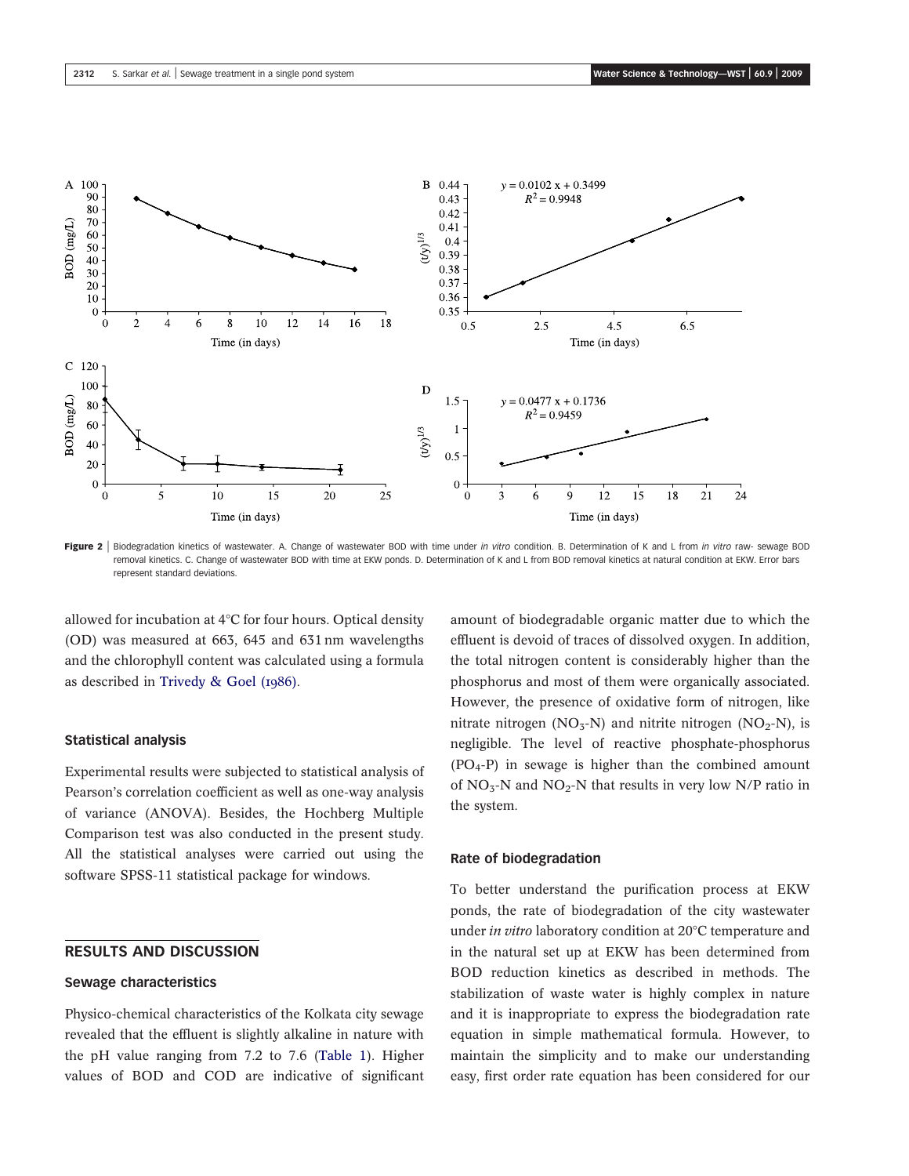

Figure 2 | Biodegradation kinetics of wastewater. A. Change of wastewater BOD with time under in vitro condition. B. Determination of K and L from in vitro raw- sewage BOD removal kinetics. C. Change of wastewater BOD with time at EKW ponds. D. Determination of K and L from BOD removal kinetics at natural condition at EKW. Error bars represent standard deviations.

allowed for incubation at 4°C for four hours. Optical density (OD) was measured at 663, 645 and 631 nm wavelengths and the chlorophyll content was calculated using a formula as described in Trivedy & Goel (1986).

#### Statistical analysis

Experimental results were subjected to statistical analysis of Pearson's correlation coefficient as well as one-way analysis of variance (ANOVA). Besides, the Hochberg Multiple Comparison test was also conducted in the present study. All the statistical analyses were carried out using the software SPSS-11 statistical package for windows.

# RESULTS AND DISCUSSION

## Sewage characteristics

Physico-chemical characteristics of the Kolkata city sewage revealed that the effluent is slightly alkaline in nature with the pH value ranging from 7.2 to 7.6 (Table 1). Higher values of BOD and COD are indicative of significant amount of biodegradable organic matter due to which the effluent is devoid of traces of dissolved oxygen. In addition, the total nitrogen content is considerably higher than the phosphorus and most of them were organically associated. However, the presence of oxidative form of nitrogen, like nitrate nitrogen (NO<sub>3</sub>-N) and nitrite nitrogen (NO<sub>2</sub>-N), is negligible. The level of reactive phosphate-phosphorus  $(PO<sub>4</sub>-P)$  in sewage is higher than the combined amount of  $NO<sub>3</sub>$ -N and  $NO<sub>2</sub>$ -N that results in very low N/P ratio in the system.

# Rate of biodegradation

To better understand the purification process at EKW ponds, the rate of biodegradation of the city wastewater under *in vitro* laboratory condition at 20°C temperature and in the natural set up at EKW has been determined from BOD reduction kinetics as described in methods. The stabilization of waste water is highly complex in nature and it is inappropriate to express the biodegradation rate equation in simple mathematical formula. However, to maintain the simplicity and to make our understanding easy, first order rate equation has been considered for our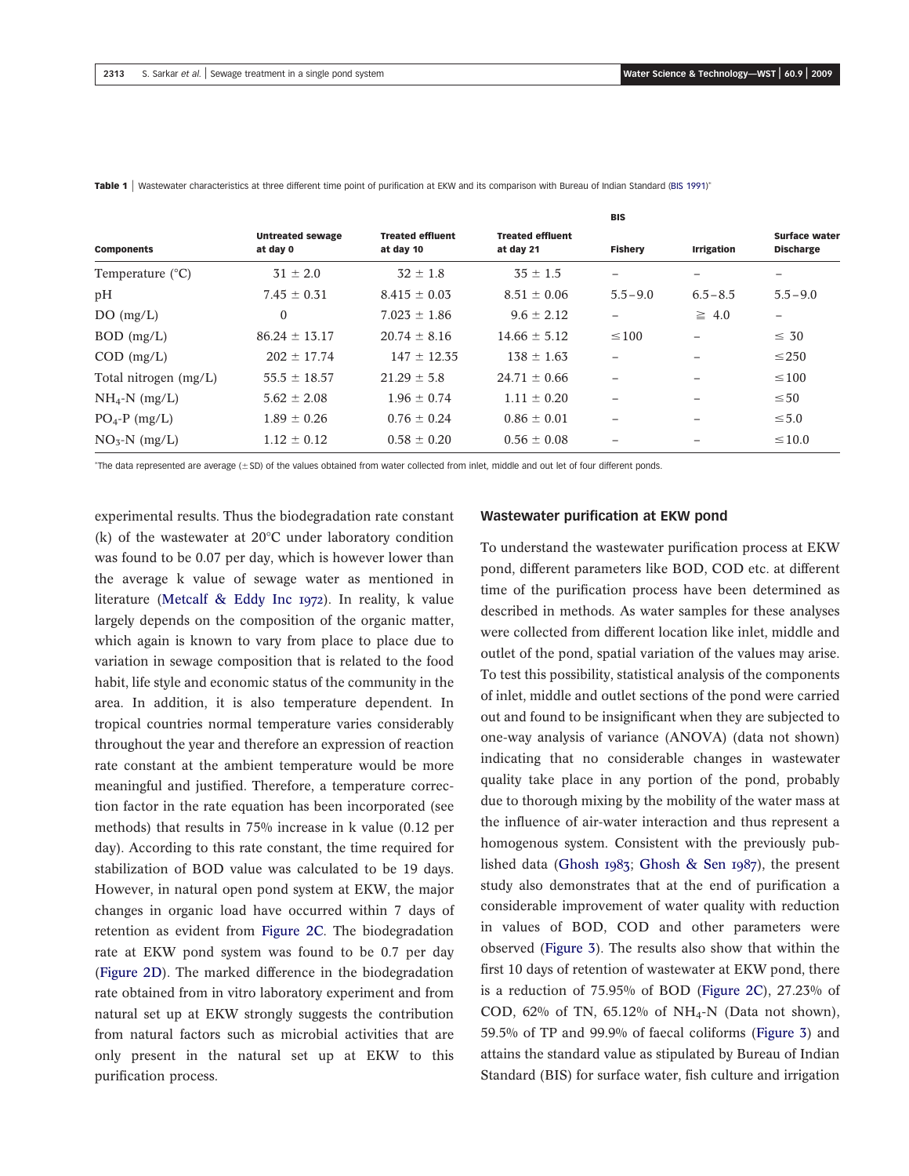|                           |                                     |                                      |                                      | <b>BIS</b>               |                          |                                   |
|---------------------------|-------------------------------------|--------------------------------------|--------------------------------------|--------------------------|--------------------------|-----------------------------------|
| <b>Components</b>         | <b>Untreated sewage</b><br>at day 0 | <b>Treated effluent</b><br>at day 10 | <b>Treated effluent</b><br>at day 21 | <b>Fishery</b>           | <b>Irrigation</b>        | Surface water<br><b>Discharge</b> |
| Temperature $(^{\circ}C)$ | $31 \pm 2.0$                        | $32 \pm 1.8$                         | $35 \pm 1.5$                         | $\overline{\phantom{0}}$ |                          | $\qquad \qquad -$                 |
| pH                        | $7.45 \pm 0.31$                     | $8.415 \pm 0.03$                     | $8.51 \pm 0.06$                      | $5.5 - 9.0$              | $6.5 - 8.5$              | $5.5 - 9.0$                       |
| DO(mg/L)                  | $\Omega$                            | $7.023 \pm 1.86$                     | $9.6 \pm 2.12$                       | —                        | $\geq 4.0$               | $\qquad \qquad -$                 |
| $BOD$ (mg/L)              | $86.24 \pm 13.17$                   | $20.74 \pm 8.16$                     | $14.66 \pm 5.12$                     | $\leq 100$               |                          | $\leq 30$                         |
| $COD$ (mg/L)              | $202 \pm 17.74$                     | $147 \pm 12.35$                      | $138 \pm 1.63$                       | $\overline{\phantom{0}}$ | $\overline{\phantom{m}}$ | $\leq$ 250                        |
| Total nitrogen (mg/L)     | $55.5 \pm 18.57$                    | $21.29 \pm 5.8$                      | $24.71 \pm 0.66$                     |                          |                          | $\leq 100$                        |
| $NH_4-N$ (mg/L)           | $5.62 \pm 2.08$                     | $1.96 \pm 0.74$                      | $1.11 \pm 0.20$                      |                          |                          | $\leq 50$                         |
| $PO_4$ -P (mg/L)          | $1.89 \pm 0.26$                     | $0.76 \pm 0.24$                      | $0.86 \pm 0.01$                      | $\overline{\phantom{0}}$ |                          | $\leq 5.0$                        |
| $NO5-N$ (mg/L)            | $1.12 \pm 0.12$                     | $0.58 \pm 0.20$                      | $0.56 \pm 0.08$                      | $\overline{\phantom{0}}$ |                          | $\leq 10.0$                       |

Table 1 | Wastewater characteristics at three different time point of purification at EKW and its comparison with Bureau of Indian Standard (BIS 1991)\*

The data represented are average (±SD) of the values obtained from water collected from inlet, middle and out let of four different ponds.

experimental results. Thus the biodegradation rate constant (k) of the wastewater at  $20^{\circ}$ C under laboratory condition was found to be 0.07 per day, which is however lower than the average k value of sewage water as mentioned in literature (Metcalf & Eddy Inc 1972). In reality, k value largely depends on the composition of the organic matter, which again is known to vary from place to place due to variation in sewage composition that is related to the food habit, life style and economic status of the community in the area. In addition, it is also temperature dependent. In tropical countries normal temperature varies considerably throughout the year and therefore an expression of reaction rate constant at the ambient temperature would be more meaningful and justified. Therefore, a temperature correction factor in the rate equation has been incorporated (see methods) that results in 75% increase in k value (0.12 per day). According to this rate constant, the time required for stabilization of BOD value was calculated to be 19 days. However, in natural open pond system at EKW, the major changes in organic load have occurred within 7 days of retention as evident from Figure 2C. The biodegradation rate at EKW pond system was found to be 0.7 per day (Figure 2D). The marked difference in the biodegradation rate obtained from in vitro laboratory experiment and from natural set up at EKW strongly suggests the contribution from natural factors such as microbial activities that are only present in the natural set up at EKW to this purification process.

# Wastewater purification at EKW pond

To understand the wastewater purification process at EKW pond, different parameters like BOD, COD etc. at different time of the purification process have been determined as described in methods. As water samples for these analyses were collected from different location like inlet, middle and outlet of the pond, spatial variation of the values may arise. To test this possibility, statistical analysis of the components of inlet, middle and outlet sections of the pond were carried out and found to be insignificant when they are subjected to one-way analysis of variance (ANOVA) (data not shown) indicating that no considerable changes in wastewater quality take place in any portion of the pond, probably due to thorough mixing by the mobility of the water mass at the influence of air-water interaction and thus represent a homogenous system. Consistent with the previously published data (Ghosh 1983; Ghosh & Sen 1987), the present study also demonstrates that at the end of purification a considerable improvement of water quality with reduction in values of BOD, COD and other parameters were observed (Figure 3). The results also show that within the first 10 days of retention of wastewater at EKW pond, there is a reduction of 75.95% of BOD (Figure 2C), 27.23% of COD, 62% of TN, 65.12% of NH<sub>4</sub>-N (Data not shown), 59.5% of TP and 99.9% of faecal coliforms (Figure 3) and attains the standard value as stipulated by Bureau of Indian Standard (BIS) for surface water, fish culture and irrigation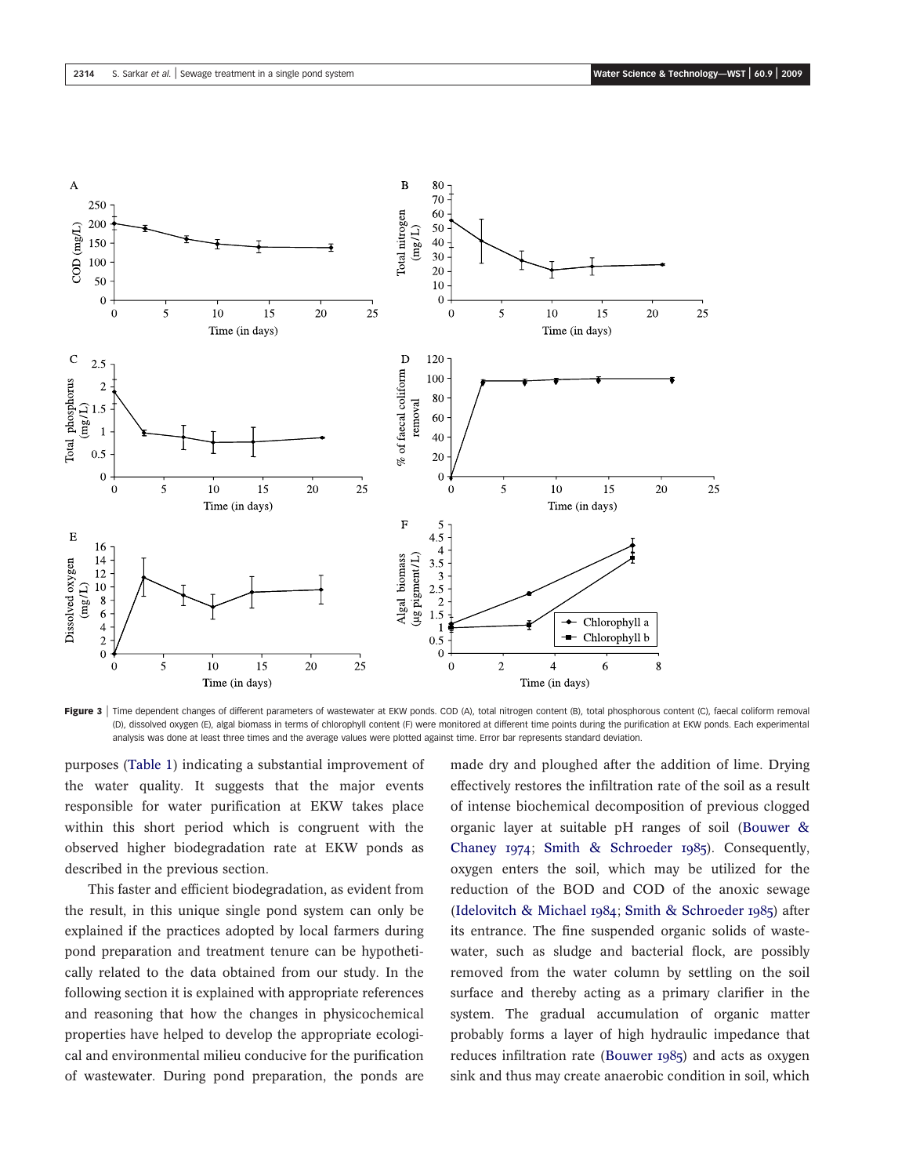

Figure 3 | Time dependent changes of different parameters of wastewater at EKW ponds. COD (A), total nitrogen content (B), total phosphorous content (C), faecal coliform removal (D), dissolved oxygen (E), algal biomass in terms of chlorophyll content (F) were monitored at different time points during the purification at EKW ponds. Each experimental analysis was done at least three times and the average values were plotted against time. Error bar represents standard deviation.

purposes (Table 1) indicating a substantial improvement of the water quality. It suggests that the major events responsible for water purification at EKW takes place within this short period which is congruent with the observed higher biodegradation rate at EKW ponds as described in the previous section.

This faster and efficient biodegradation, as evident from the result, in this unique single pond system can only be explained if the practices adopted by local farmers during pond preparation and treatment tenure can be hypothetically related to the data obtained from our study. In the following section it is explained with appropriate references and reasoning that how the changes in physicochemical properties have helped to develop the appropriate ecological and environmental milieu conducive for the purification of wastewater. During pond preparation, the ponds are

made dry and ploughed after the addition of lime. Drying effectively restores the infiltration rate of the soil as a result of intense biochemical decomposition of previous clogged organic layer at suitable pH ranges of soil (Bouwer & Chaney 1974; Smith & Schroeder 1985). Consequently, oxygen enters the soil, which may be utilized for the reduction of the BOD and COD of the anoxic sewage (Idelovitch & Michael 1984; Smith & Schroeder 1985) after its entrance. The fine suspended organic solids of wastewater, such as sludge and bacterial flock, are possibly removed from the water column by settling on the soil surface and thereby acting as a primary clarifier in the system. The gradual accumulation of organic matter probably forms a layer of high hydraulic impedance that reduces infiltration rate (Bouwer 1985) and acts as oxygen sink and thus may create anaerobic condition in soil, which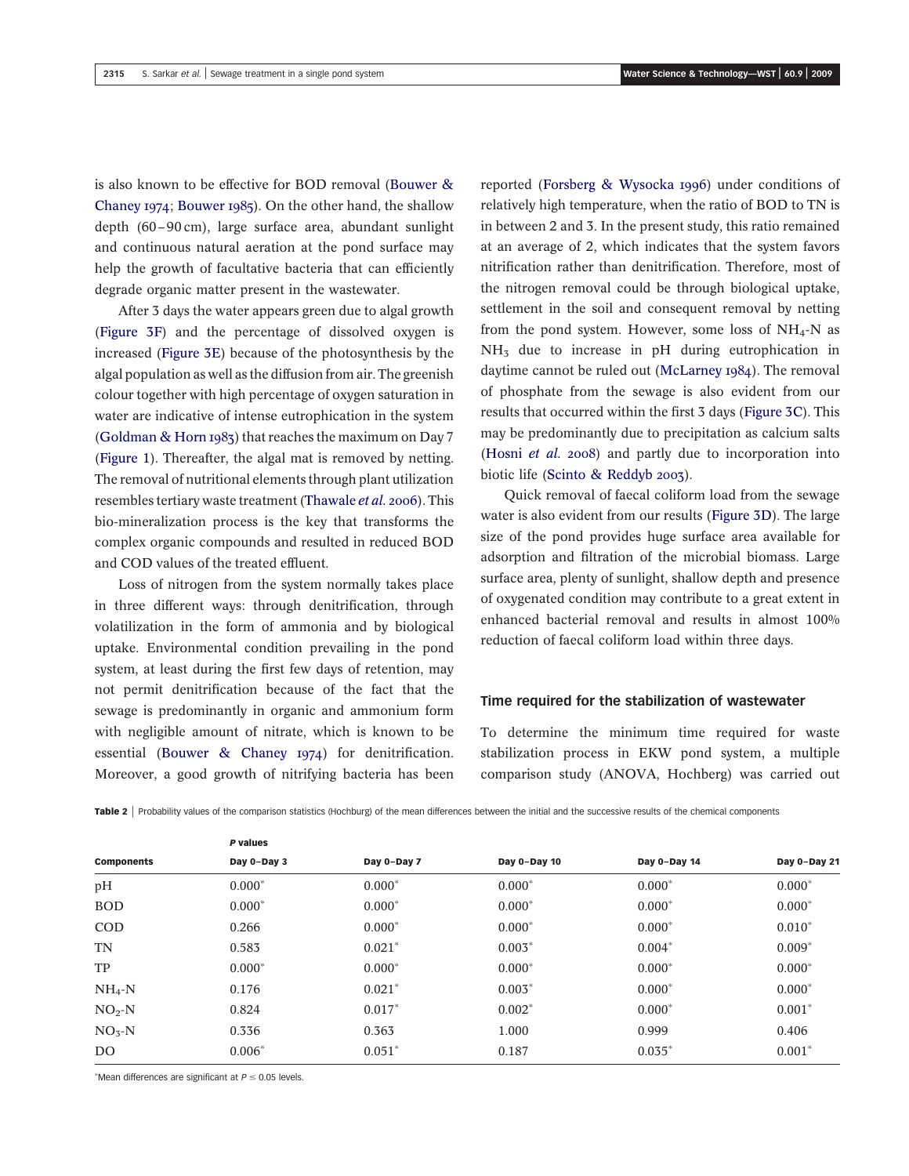is also known to be effective for BOD removal (Bouwer & Chaney 1974; Bouwer 1985). On the other hand, the shallow depth (60–90 cm), large surface area, abundant sunlight and continuous natural aeration at the pond surface may help the growth of facultative bacteria that can efficiently degrade organic matter present in the wastewater.

After 3 days the water appears green due to algal growth (Figure 3F) and the percentage of dissolved oxygen is increased (Figure 3E) because of the photosynthesis by the algal population as well as the diffusion from air. The greenish colour together with high percentage of oxygen saturation in water are indicative of intense eutrophication in the system (Goldman & Horn 1983) that reaches the maximum on Day 7 (Figure 1). Thereafter, the algal mat is removed by netting. The removal of nutritional elements through plant utilization resembles tertiary waste treatment (Thawale *et al.* 2006). This bio-mineralization process is the key that transforms the complex organic compounds and resulted in reduced BOD and COD values of the treated effluent.

Loss of nitrogen from the system normally takes place in three different ways: through denitrification, through volatilization in the form of ammonia and by biological uptake. Environmental condition prevailing in the pond system, at least during the first few days of retention, may not permit denitrification because of the fact that the sewage is predominantly in organic and ammonium form with negligible amount of nitrate, which is known to be essential (Bouwer & Chaney 1974) for denitrification. Moreover, a good growth of nitrifying bacteria has been

reported (Forsberg & Wysocka 1996) under conditions of relatively high temperature, when the ratio of BOD to TN is in between 2 and 3. In the present study, this ratio remained at an average of 2, which indicates that the system favors nitrification rather than denitrification. Therefore, most of the nitrogen removal could be through biological uptake, settlement in the soil and consequent removal by netting from the pond system. However, some loss of  $NH_4-N$  as NH<sub>3</sub> due to increase in pH during eutrophication in daytime cannot be ruled out (McLarney 1984). The removal of phosphate from the sewage is also evident from our results that occurred within the first 3 days (Figure 3C). This may be predominantly due to precipitation as calcium salts (Hosni *et al.* 2008) and partly due to incorporation into biotic life (Scinto & Reddyb 2003).

Quick removal of faecal coliform load from the sewage water is also evident from our results (Figure 3D). The large size of the pond provides huge surface area available for adsorption and filtration of the microbial biomass. Large surface area, plenty of sunlight, shallow depth and presence of oxygenated condition may contribute to a great extent in enhanced bacterial removal and results in almost 100% reduction of faecal coliform load within three days.

# Time required for the stabilization of wastewater

To determine the minimum time required for waste stabilization process in EKW pond system, a multiple comparison study (ANOVA, Hochberg) was carried out

|                   | P values    |             |              |              |              |  |  |  |  |
|-------------------|-------------|-------------|--------------|--------------|--------------|--|--|--|--|
| <b>Components</b> | Day 0-Day 3 | Day 0-Day 7 | Day 0-Day 10 | Day 0-Day 14 | Day 0-Day 21 |  |  |  |  |
| pH                | $0.000*$    | $0.000*$    | $0.000*$     | $0.000*$     | $0.000*$     |  |  |  |  |
| <b>BOD</b>        | $0.000*$    | $0.000*$    | $0.000*$     | $0.000*$     | $0.000*$     |  |  |  |  |
| <b>COD</b>        | 0.266       | $0.000*$    | $0.000*$     | $0.000*$     | $0.010*$     |  |  |  |  |
| <b>TN</b>         | 0.583       | $0.021*$    | $0.003*$     | $0.004*$     | $0.009*$     |  |  |  |  |
| TP                | $0.000*$    | $0.000*$    | $0.000*$     | $0.000*$     | $0.000*$     |  |  |  |  |
| $NH_4-N$          | 0.176       | $0.021*$    | $0.003*$     | $0.000*$     | $0.000*$     |  |  |  |  |
| $NO2-N$           | 0.824       | $0.017*$    | $0.002*$     | $0.000*$     | $0.001*$     |  |  |  |  |
| $NO3-N$           | 0.336       | 0.363       | 1.000        | 0.999        | 0.406        |  |  |  |  |
| DO.               | $0.006*$    | $0.051*$    | 0.187        | $0.035*$     | $0.001*$     |  |  |  |  |

\*Mean differences are significant at  $P \leq 0.05$  levels.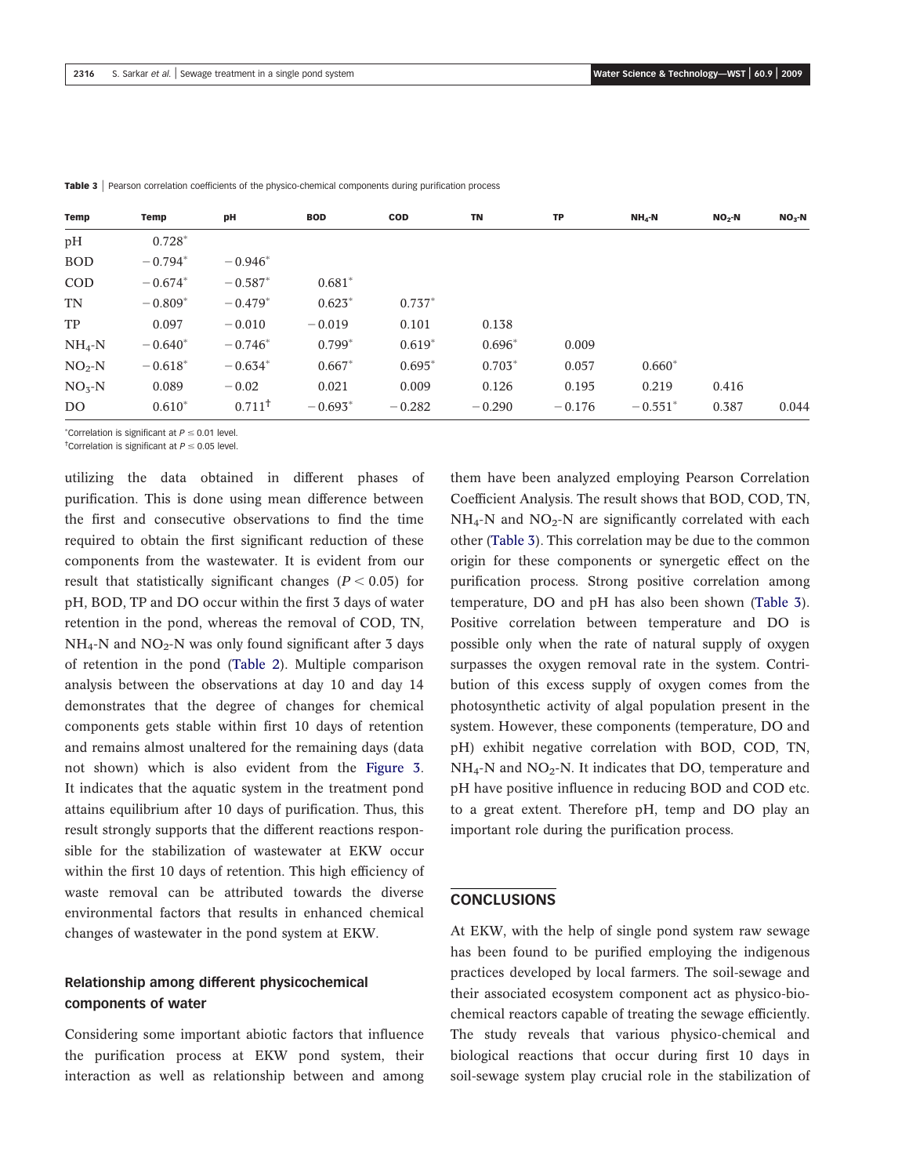| Temp       | Temp      | pH        | <b>BOD</b> | <b>COD</b> | <b>TN</b> | TP       | $NHa-N$   | $NO2$ -N | $NO3$ -N |
|------------|-----------|-----------|------------|------------|-----------|----------|-----------|----------|----------|
| pH         | $0.728*$  |           |            |            |           |          |           |          |          |
| <b>BOD</b> | $-0.794*$ | $-0.946*$ |            |            |           |          |           |          |          |
| <b>COD</b> | $-0.674*$ | $-0.587*$ | $0.681*$   |            |           |          |           |          |          |
| TN         | $-0.809*$ | $-0.479*$ | $0.623*$   | $0.737*$   |           |          |           |          |          |
| TP         | 0.097     | $-0.010$  | $-0.019$   | 0.101      | 0.138     |          |           |          |          |
| $NH_4-N$   | $-0.640*$ | $-0.746*$ | $0.799*$   | $0.619*$   | $0.696*$  | 0.009    |           |          |          |
| $NO2-N$    | $-0.618*$ | $-0.634*$ | $0.667*$   | $0.695*$   | $0.703*$  | 0.057    | $0.660*$  |          |          |
| $NO3-N$    | 0.089     | $-0.02$   | 0.021      | 0.009      | 0.126     | 0.195    | 0.219     | 0.416    |          |
| DO.        | $0.610*$  | $0.711^+$ | $-0.693*$  | $-0.282$   | $-0.290$  | $-0.176$ | $-0.551*$ | 0.387    | 0.044    |

Table 3 | Pearson correlation coefficients of the physico-chemical components during purification process

 $^*$ Correlation is significant at  $P \leq 0.01$  level.

<sup>†</sup>Correlation is significant at  $P \le 0.05$  level.

utilizing the data obtained in different phases of purification. This is done using mean difference between the first and consecutive observations to find the time required to obtain the first significant reduction of these components from the wastewater. It is evident from our result that statistically significant changes  $(P < 0.05)$  for pH, BOD, TP and DO occur within the first 3 days of water retention in the pond, whereas the removal of COD, TN,  $NH_4$ -N and  $NO_2$ -N was only found significant after 3 days of retention in the pond (Table 2). Multiple comparison analysis between the observations at day 10 and day 14 demonstrates that the degree of changes for chemical components gets stable within first 10 days of retention and remains almost unaltered for the remaining days (data not shown) which is also evident from the Figure 3. It indicates that the aquatic system in the treatment pond attains equilibrium after 10 days of purification. Thus, this result strongly supports that the different reactions responsible for the stabilization of wastewater at EKW occur within the first 10 days of retention. This high efficiency of waste removal can be attributed towards the diverse environmental factors that results in enhanced chemical changes of wastewater in the pond system at EKW.

# Relationship among different physicochemical components of water

Considering some important abiotic factors that influence the purification process at EKW pond system, their interaction as well as relationship between and among

them have been analyzed employing Pearson Correlation Coefficient Analysis. The result shows that BOD, COD, TN,  $NH_4$ -N and  $NO_2$ -N are significantly correlated with each other (Table 3). This correlation may be due to the common origin for these components or synergetic effect on the purification process. Strong positive correlation among temperature, DO and pH has also been shown (Table 3). Positive correlation between temperature and DO is possible only when the rate of natural supply of oxygen surpasses the oxygen removal rate in the system. Contribution of this excess supply of oxygen comes from the photosynthetic activity of algal population present in the system. However, these components (temperature, DO and pH) exhibit negative correlation with BOD, COD, TN,  $NH_4$ -N and  $NO_2$ -N. It indicates that DO, temperature and pH have positive influence in reducing BOD and COD etc. to a great extent. Therefore pH, temp and DO play an important role during the purification process.

### CONCLUSIONS

At EKW, with the help of single pond system raw sewage has been found to be purified employing the indigenous practices developed by local farmers. The soil-sewage and their associated ecosystem component act as physico-biochemical reactors capable of treating the sewage efficiently. The study reveals that various physico-chemical and biological reactions that occur during first 10 days in soil-sewage system play crucial role in the stabilization of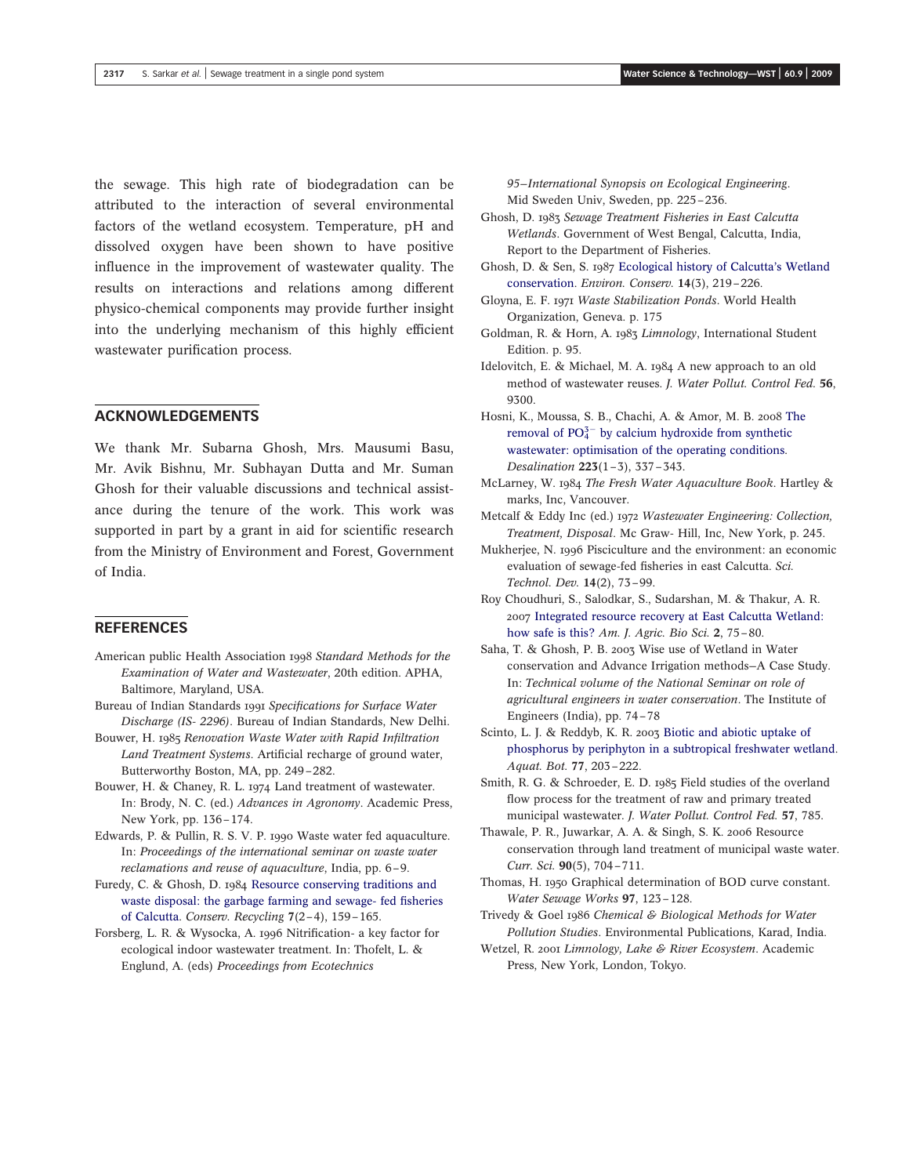the sewage. This high rate of biodegradation can be attributed to the interaction of several environmental factors of the wetland ecosystem. Temperature, pH and dissolved oxygen have been shown to have positive influence in the improvement of wastewater quality. The results on interactions and relations among different physico-chemical components may provide further insight into the underlying mechanism of this highly efficient wastewater purification process.

# ACKNOWLEDGEMENTS

We thank Mr. Subarna Ghosh, Mrs. Mausumi Basu, Mr. Avik Bishnu, Mr. Subhayan Dutta and Mr. Suman Ghosh for their valuable discussions and technical assistance during the tenure of the work. This work was supported in part by a grant in aid for scientific research from the Ministry of Environment and Forest, Government of India.

# **REFERENCES**

- American public Health Association 1998 *Standard Methods for the Examination of Water and Wastewater*, 20th edition. APHA, Baltimore, Maryland, USA.
- Bureau of Indian Standards 1991 *Specifications for Surface Water Discharge (IS- 2296)*. Bureau of Indian Standards, New Delhi.
- Bouwer, H. 1985 *Renovation Waste Water with Rapid Infiltration Land Treatment Systems*. Artificial recharge of ground water, Butterworthy Boston, MA, pp. 249–282.
- Bouwer, H. & Chaney, R. L. 1974 Land treatment of wastewater. In: Brody, N. C. (ed.) *Advances in Agronomy*. Academic Press, New York, pp. 136–174.
- Edwards, P. & Pullin, R. S. V. P. 1990 Waste water fed aquaculture. In: *Proceedings of the international seminar on waste water reclamations and reuse of aquaculture*, India, pp. 6–9.
- Furedy, C. & Ghosh, D. 1984 Resource conserving traditions and waste disposal: the garbage farming and sewage- fed fisheries of Calcutta. *Conserv. Recycling* 7(2–4), 159–165.
- Forsberg, L. R. & Wysocka, A. 1996 Nitrification- a key factor for ecological indoor wastewater treatment. In: Thofelt, L. & Englund, A. (eds) *Proceedings from Ecotechnics*
- Ghosh, D. 1983 *Sewage Treatment Fisheries in East Calcutta Wetlands*. Government of West Bengal, Calcutta, India, Report to the Department of Fisheries.
- Ghosh, D. & Sen, S. 1987 Ecological history of Calcutta's Wetland conservation. *Environ. Conserv.* 14(3), 219–226.
- Gloyna, E. F. 1971 *Waste Stabilization Ponds*. World Health Organization, Geneva. p. 175
- Goldman, R. & Horn, A. 1983 *Limnology*, International Student Edition. p. 95.
- Idelovitch, E. & Michael, M. A. 1984 A new approach to an old method of wastewater reuses. *J. Water Pollut. Control Fed.* 56, 9300.
- Hosni, K., Moussa, S. B., Chachi, A. & Amor, M. B. 2008 The removal of  $PO_4^{3-}$  by calcium hydroxide from synthetic wastewater: optimisation of the operating conditions. *Desalination* 223(1–3), 337–343.
- McLarney, W. 1984 *The Fresh Water Aquaculture Book*. Hartley & marks, Inc, Vancouver.
- Metcalf & Eddy Inc (ed.) 1972 *Wastewater Engineering: Collection, Treatment, Disposal*. Mc Graw- Hill, Inc, New York, p. 245.
- Mukherjee, N. 1996 Pisciculture and the environment: an economic evaluation of sewage-fed fisheries in east Calcutta. *Sci. Technol. Dev.* 14(2), 73–99.
- Roy Choudhuri, S., Salodkar, S., Sudarshan, M. & Thakur, A. R. 2007 Integrated resource recovery at East Calcutta Wetland: how safe is this? *Am. J. Agric. Bio Sci.* 2, 75–80.
- Saha, T. & Ghosh, P. B. 2003 Wise use of Wetland in Water conservation and Advance Irrigation methods—A Case Study. In: *Technical volume of the National Seminar on role of agricultural engineers in water conservation*. The Institute of Engineers (India), pp. 74–78
- Scinto, L. J. & Reddyb, K. R. 2003 Biotic and abiotic uptake of phosphorus by periphyton in a subtropical freshwater wetland. *Aquat. Bot.* 77, 203–222.
- Smith, R. G. & Schroeder, E. D. 1985 Field studies of the overland flow process for the treatment of raw and primary treated municipal wastewater. *J. Water Pollut. Control Fed.* 57, 785.
- Thawale, P. R., Juwarkar, A. A. & Singh, S. K. 2006 Resource conservation through land treatment of municipal waste water. *Curr. Sci.* 90(5), 704–711.
- Thomas, H. 1950 Graphical determination of BOD curve constant. *Water Sewage Works* 97, 123–128.
- Trivedy & Goel 1986 *Chemical & Biological Methods for Water Pollution Studies*. Environmental Publications, Karad, India.
- Wetzel, R. 2001 *Limnology, Lake & River Ecosystem*. Academic Press, New York, London, Tokyo.